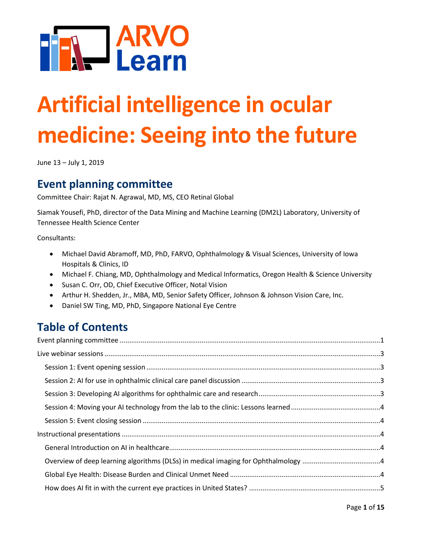

# **Artificial intelligence in ocular medicine: Seeing into the future**

June 13 – July 1, 2019

# <span id="page-0-0"></span>**Event planning committee**

Committee Chair: Rajat N. Agrawal, MD, MS, CEO Retinal Global

Siamak Yousefi, PhD, director of the Data Mining and Machine Learning (DM2L) Laboratory, University of Tennessee Health Science Center

Consultants:

- Michael David Abramoff, MD, PhD, FARVO, Ophthalmology & Visual Sciences, University of Iowa Hospitals & Clinics, ID
- Michael F. Chiang, MD, Ophthalmology and Medical Informatics, Oregon Health & Science University
- Susan C. Orr, OD, Chief Executive Officer, Notal Vision
- Arthur H. Shedden, Jr., MBA, MD, Senior Safety Officer, Johnson & Johnson Vision Care, Inc.
- Daniel SW Ting, MD, PhD, Singapore National Eye Centre

# **Table of Contents**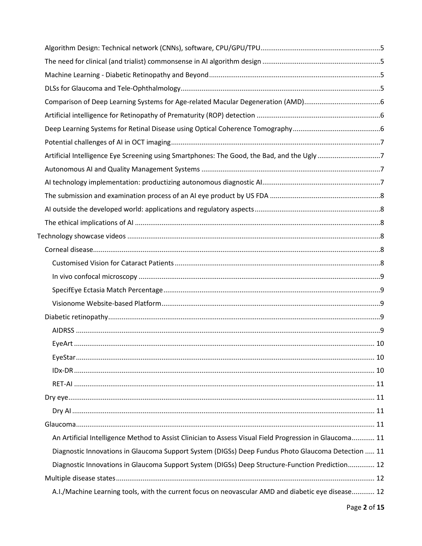| Artificial Intelligence Eye Screening using Smartphones: The Good, the Bad, and the Ugly7               |  |
|---------------------------------------------------------------------------------------------------------|--|
|                                                                                                         |  |
|                                                                                                         |  |
|                                                                                                         |  |
|                                                                                                         |  |
|                                                                                                         |  |
|                                                                                                         |  |
|                                                                                                         |  |
|                                                                                                         |  |
|                                                                                                         |  |
|                                                                                                         |  |
|                                                                                                         |  |
|                                                                                                         |  |
|                                                                                                         |  |
|                                                                                                         |  |
|                                                                                                         |  |
|                                                                                                         |  |
|                                                                                                         |  |
|                                                                                                         |  |
|                                                                                                         |  |
|                                                                                                         |  |
| An Artificial Intelligence Method to Assist Clinician to Assess Visual Field Progression in Glaucoma 11 |  |
| Diagnostic Innovations in Glaucoma Support System (DIGSs) Deep Fundus Photo Glaucoma Detection  11      |  |
| Diagnostic Innovations in Glaucoma Support System (DIGSs) Deep Structure-Function Prediction 12         |  |
|                                                                                                         |  |
| A.I./Machine Learning tools, with the current focus on neovascular AMD and diabetic eye disease 12      |  |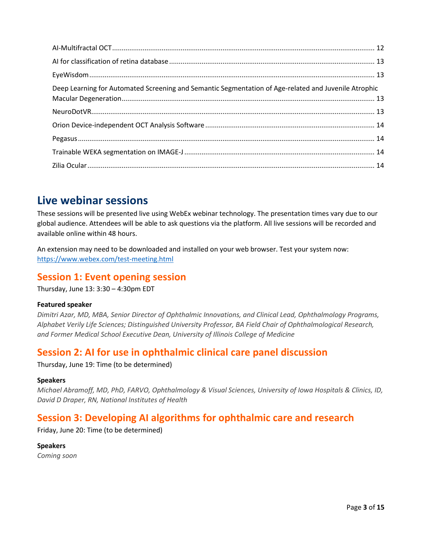| Deep Learning for Automated Screening and Semantic Segmentation of Age-related and Juvenile Atrophic |  |
|------------------------------------------------------------------------------------------------------|--|
|                                                                                                      |  |
|                                                                                                      |  |
|                                                                                                      |  |
|                                                                                                      |  |
|                                                                                                      |  |

# <span id="page-2-0"></span>**Live webinar sessions**

These sessions will be presented live using WebEx webinar technology. The presentation times vary due to our global audience. Attendees will be able to ask questions via the platform. All live sessions will be recorded and available online within 48 hours.

An extension may need to be downloaded and installed on your web browser. Test your system now: <https://www.webex.com/test-meeting.html>

## <span id="page-2-1"></span>**Session 1: Event opening session**

Thursday, June 13: 3:30 – 4:30pm EDT

#### **Featured speaker**

*Dimitri Azar, MD, MBA, Senior Director of Ophthalmic Innovations, and Clinical Lead, Ophthalmology Programs, Alphabet Verily Life Sciences; Distinguished University Professor, BA Field Chair of Ophthalmological Research, and Former Medical School Executive Dean, University of Illinois College of Medicine*

## <span id="page-2-2"></span>**Session 2: AI for use in ophthalmic clinical care panel discussion**

Thursday, June 19: Time (to be determined)

#### **Speakers**

*Michael Abramoff, MD, PhD, FARVO, Ophthalmology & Visual Sciences, University of Iowa Hospitals & Clinics, ID, David D Draper, RN, National Institutes of Health*

## <span id="page-2-3"></span>**Session 3: Developing AI algorithms for ophthalmic care and research**

Friday, June 20: Time (to be determined)

**Speakers** *Coming soon*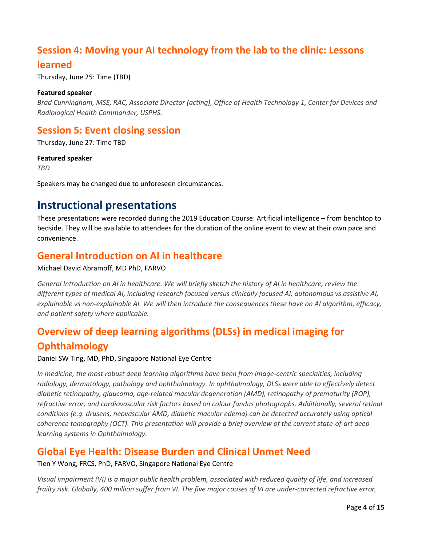## <span id="page-3-0"></span>**Session 4: Moving your AI technology from the lab to the clinic: Lessons**

## **learned**

Thursday, June 25: Time (TBD)

#### **Featured speaker**

*Brad Cunningham, MSE, RAC, Associate Director (acting), Office of Health Technology 1, Center for Devices and Radiological Health Commander, USPHS.* 

## <span id="page-3-1"></span>**Session 5: Event closing session**

Thursday, June 27: Time TBD

#### **Featured speaker**

*TBD*

Speakers may be changed due to unforeseen circumstances.

# <span id="page-3-2"></span>**Instructional presentations**

These presentations were recorded during the 2019 Education Course: Artificial intelligence – from benchtop to bedside. They will be available to attendees for the duration of the online event to view at their own pace and convenience.

## <span id="page-3-3"></span>**General Introduction on AI in healthcare**

#### Michael David Abramoff, MD PhD, FARVO

*General Introduction on AI in healthcare. We will briefly sketch the history of AI in healthcare, review the different types of medical AI, including research focused versus clinically focused AI, autonomous vs assistive AI, explainable vs non-explainable AI. We will then introduce the consequences these have on AI algorithm, efficacy, and patient safety where applicable.*

# <span id="page-3-4"></span>**Overview of deep learning algorithms (DLSs) in medical imaging for Ophthalmology**

Daniel SW Ting, MD, PhD, Singapore National Eye Centre

*In medicine, the most robust deep learning algorithms have been from image-centric specialties, including radiology, dermatology, pathology and ophthalmology. In ophthalmology, DLSs were able to effectively detect diabetic retinopathy, glaucoma, age-related macular degeneration (AMD), retinopathy of prematurity (ROP), refractive error, and cardiovascular risk factors based on colour fundus photographs. Additionally, several retinal conditions (e.g. drusens, neovascular AMD, diabetic macular edema) can be detected accurately using optical coherence tomography (OCT). This presentation will provide a brief overview of the current state-of-art deep learning systems in Ophthalmology.*

## <span id="page-3-5"></span>**Global Eye Health: Disease Burden and Clinical Unmet Need**

Tien Y Wong, FRCS, PhD, FARVO, Singapore National Eye Centre

*Visual impairment (VI) is a major public health problem, associated with reduced quality of life, and increased frailty risk. Globally, 400 million suffer from VI. The five major causes of VI are under-corrected refractive error,*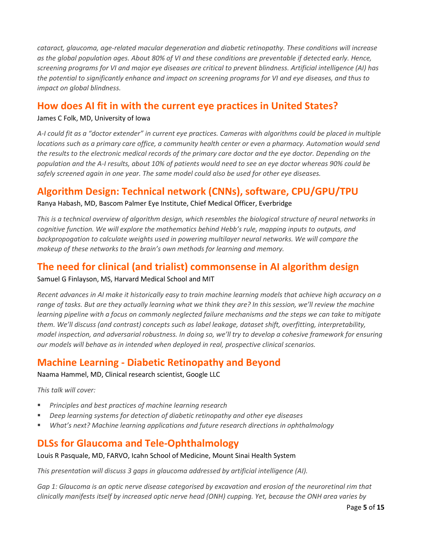*cataract, glaucoma, age-related macular degeneration and diabetic retinopathy. These conditions will increase as the global population ages. About 80% of VI and these conditions are preventable if detected early. Hence, screening programs for VI and major eye diseases are critical to prevent blindness. Artificial intelligence (AI) has the potential to significantly enhance and impact on screening programs for VI and eye diseases, and thus to impact on global blindness.*

## <span id="page-4-0"></span>**How does AI fit in with the current eye practices in United States?**

#### James C Folk, MD, University of Iowa

*A-I could fit as a "doctor extender" in current eye practices. Cameras with algorithms could be placed in multiple locations such as a primary care office, a community health center or even a pharmacy. Automation would send the results to the electronic medical records of the primary care doctor and the eye doctor. Depending on the population and the A-I results, about 10% of patients would need to see an eye doctor whereas 90% could be safely screened again in one year. The same model could also be used for other eye diseases.*

## <span id="page-4-1"></span>**Algorithm Design: Technical network (CNNs), software, CPU/GPU/TPU**

Ranya Habash, MD, Bascom Palmer Eye Institute, Chief Medical Officer, Everbridge

*This is a technical overview of algorithm design, which resembles the biological structure of neural networks in cognitive function. We will explore the mathematics behind Hebb's rule, mapping inputs to outputs, and backpropogation to calculate weights used in powering multilayer neural networks. We will compare the makeup of these networks to the brain's own methods for learning and memory.*

## <span id="page-4-2"></span>**The need for clinical (and trialist) commonsense in AI algorithm design** Samuel G Finlayson, MS, Harvard Medical School and MIT

*Recent advances in AI make it historically easy to train machine learning models that achieve high accuracy on a*  range of tasks. But are they actually learning what we think they are? In this session, we'll review the machine *learning pipeline with a focus on commonly neglected failure mechanisms and the steps we can take to mitigate them. We'll discuss (and contrast) concepts such as label leakage, dataset shift, overfitting, interpretability, model inspection, and adversarial robustness. In doing so, we'll try to develop a cohesive framework for ensuring our models will behave as in intended when deployed in real, prospective clinical scenarios.*

## <span id="page-4-3"></span>**Machine Learning - Diabetic Retinopathy and Beyond**

Naama Hammel, MD, Clinical research scientist, Google LLC

*This talk will cover:*

- *Principles and best practices of machine learning research*
- *Deep learning systems for detection of diabetic retinopathy and other eye diseases*
- *What's next? Machine learning applications and future research directions in ophthalmology*

## <span id="page-4-4"></span>**DLSs for Glaucoma and Tele-Ophthalmology**

Louis R Pasquale, MD, FARVO, Icahn School of Medicine, Mount Sinai Health System

*This presentation will discuss 3 gaps in glaucoma addressed by artificial intelligence (AI).*

*Gap 1: Glaucoma is an optic nerve disease categorised by excavation and erosion of the neuroretinal rim that clinically manifests itself by increased optic nerve head (ONH) cupping. Yet, because the ONH area varies by*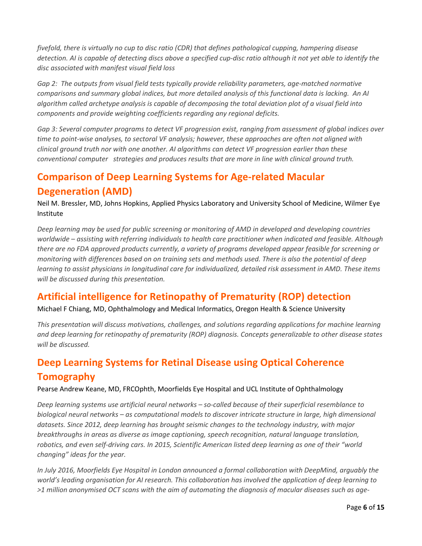*fivefold, there is virtually no cup to disc ratio (CDR) that defines pathological cupping, hampering disease detection. AI is capable of detecting discs above a specified cup-disc ratio although it not yet able to identify the disc associated with manifest visual field loss* 

*Gap 2: The outputs from visual field tests typically provide reliability parameters, age-matched normative comparisons and summary global indices, but more detailed analysis of this functional data is lacking. An AI algorithm called archetype analysis is capable of decomposing the total deviation plot of a visual field into components and provide weighting coefficients regarding any regional deficits.* 

*Gap 3: Several computer programs to detect VF progression exist, ranging from assessment of global indices over time to point-wise analyses, to sectoral VF analysis; however, these approaches are often not aligned with clinical ground truth nor with one another. AI algorithms can detect VF progression earlier than these conventional computer strategies and produces results that are more in line with clinical ground truth.* 

# <span id="page-5-0"></span>**Comparison of Deep Learning Systems for Age-related Macular Degeneration (AMD)**

Neil M. Bressler, MD, Johns Hopkins, Applied Physics Laboratory and University School of Medicine, Wilmer Eye Institute

*Deep learning may be used for public screening or monitoring of AMD in developed and developing countries worldwide – assisting with referring individuals to health care practitioner when indicated and feasible. Although there are no FDA approved products currently, a variety of programs developed appear feasible for screening or monitoring with differences based on on training sets and methods used. There is also the potential of deep learning to assist physicians in longitudinal care for individualized, detailed risk assessment in AMD. These items will be discussed during this presentation.* 

## <span id="page-5-1"></span>**Artificial intelligence for Retinopathy of Prematurity (ROP) detection**

Michael F Chiang, MD, Ophthalmology and Medical Informatics, Oregon Health & Science University

*This presentation will discuss motivations, challenges, and solutions regarding applications for machine learning and deep learning for retinopathy of prematurity (ROP) diagnosis. Concepts generalizable to other disease states will be discussed.* 

# <span id="page-5-2"></span>**Deep Learning Systems for Retinal Disease using Optical Coherence Tomography**

Pearse Andrew Keane, MD, FRCOphth, Moorfields Eye Hospital and UCL Institute of Ophthalmology

*Deep learning systems use artificial neural networks – so-called because of their superficial resemblance to biological neural networks – as computational models to discover intricate structure in large, high dimensional datasets. Since 2012, deep learning has brought seismic changes to the technology industry, with major breakthroughs in areas as diverse as image captioning, speech recognition, natural language translation, robotics, and even self-driving cars. In 2015, Scientific American listed deep learning as one of their "world changing" ideas for the year.*

*In July 2016, Moorfields Eye Hospital in London announced a formal collaboration with DeepMind, arguably the world's leading organisation for AI research. This collaboration has involved the application of deep learning to >1 million anonymised OCT scans with the aim of automating the diagnosis of macular diseases such as age-*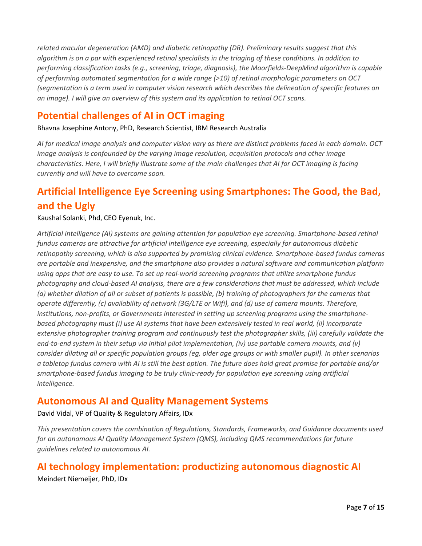*related macular degeneration (AMD) and diabetic retinopathy (DR). Preliminary results suggest that this algorithm is on a par with experienced retinal specialists in the triaging of these conditions. In addition to performing classification tasks (e.g., screening, triage, diagnosis), the Moorfields-DeepMind algorithm is capable of performing automated segmentation for a wide range (>10) of retinal morphologic parameters on OCT (segmentation is a term used in computer vision research which describes the delineation of specific features on an image). I will give an overview of this system and its application to retinal OCT scans.*

## <span id="page-6-0"></span>**Potential challenges of AI in OCT imaging**

Bhavna Josephine Antony, PhD, Research Scientist, IBM Research Australia

*AI for medical image analysis and computer vision vary as there are distinct problems faced in each domain. OCT image analysis is confounded by the varying image resolution, acquisition protocols and other image characteristics. Here, I will briefly illustrate some of the main challenges that AI for OCT imaging is facing currently and will have to overcome soon.*

# <span id="page-6-1"></span>**Artificial Intelligence Eye Screening using Smartphones: The Good, the Bad, and the Ugly**

#### Kaushal Solanki, Phd, CEO Eyenuk, Inc.

*Artificial intelligence (AI) systems are gaining attention for population eye screening. Smartphone-based retinal fundus cameras are attractive for artificial intelligence eye screening, especially for autonomous diabetic retinopathy screening, which is also supported by promising clinical evidence. Smartphone-based fundus cameras are portable and inexpensive, and the smartphone also provides a natural software and communication platform using apps that are easy to use. To set up real-world screening programs that utilize smartphone fundus photography and cloud-based AI analysis, there are a few considerations that must be addressed, which include (a) whether dilation of all or subset of patients is possible, (b) training of photographers for the cameras that operate differently, (c) availability of network (3G/LTE or Wifi), and (d) use of camera mounts. Therefore, institutions, non-profits, or Governments interested in setting up screening programs using the smartphonebased photography must (i) use AI systems that have been extensively tested in real world, (ii) incorporate extensive photographer training program and continuously test the photographer skills, (iii) carefully validate the end-to-end system in their setup via initial pilot implementation, (iv) use portable camera mounts, and (v) consider dilating all or specific population groups (eg, older age groups or with smaller pupil). In other scenarios a tabletop fundus camera with AI is still the best option. The future does hold great promise for portable and/or smartphone-based fundus imaging to be truly clinic-ready for population eye screening using artificial intelligence.*

## <span id="page-6-2"></span>**Autonomous AI and Quality Management Systems**

#### David Vidal, VP of Quality & Regulatory Affairs, IDx

*This presentation covers the combination of Regulations, Standards, Frameworks, and Guidance documents used for an autonomous AI Quality Management System (QMS), including QMS recommendations for future guidelines related to autonomous AI.*

## <span id="page-6-3"></span>**AI technology implementation: productizing autonomous diagnostic AI**

Meindert Niemeijer, PhD, IDx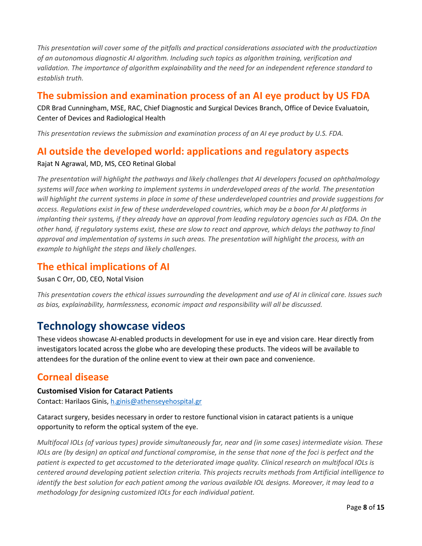*This presentation will cover some of the pitfalls and practical considerations associated with the productization of an autonomous diagnostic AI algorithm. Including such topics as algorithm training, verification and validation. The importance of algorithm explainability and the need for an independent reference standard to establish truth.*

## <span id="page-7-0"></span>**The submission and examination process of an AI eye product by US FDA**

CDR Brad Cunningham, MSE, RAC, Chief Diagnostic and Surgical Devices Branch, Office of Device Evaluatoin, Center of Devices and Radiological Health

*This presentation reviews the submission and examination process of an AI eye product by U.S. FDA.* 

## <span id="page-7-1"></span>**AI outside the developed world: applications and regulatory aspects**

#### Rajat N Agrawal, MD, MS, CEO Retinal Global

*The presentation will highlight the pathways and likely challenges that AI developers focused on ophthalmology systems will face when working to implement systems in underdeveloped areas of the world. The presentation will highlight the current systems in place in some of these underdeveloped countries and provide suggestions for access. Regulations exist in few of these underdeveloped countries, which may be a boon for AI platforms in implanting their systems, if they already have an approval from leading regulatory agencies such as FDA. On the other hand, if regulatory systems exist, these are slow to react and approve, which delays the pathway to final approval and implementation of systems in such areas. The presentation will highlight the process, with an example to highlight the steps and likely challenges.*

## <span id="page-7-2"></span>**The ethical implications of AI**

Susan C Orr, OD, CEO, Notal Vision

*This presentation covers the ethical issues surrounding the development and use of AI in clinical care. Issues such as bias, explainability, harmlessness, economic impact and responsibility will all be discussed.* 

# <span id="page-7-3"></span>**Technology showcase videos**

These videos showcase AI-enabled products in development for use in eye and vision care. Hear directly from investigators located across the globe who are developing these products. The videos will be available to attendees for the duration of the online event to view at their own pace and convenience.

## <span id="page-7-4"></span>**Corneal disease**

#### <span id="page-7-5"></span>**Customised Vision for Cataract Patients**

Contact: Harilaos Ginis, [h.ginis@athenseyehospital.gr](mailto:h.ginis@athenseyehospital.gr)

Cataract surgery, besides necessary in order to restore functional vision in cataract patients is a unique opportunity to reform the optical system of the eye.

*Μultifocal IOLs (of various types) provide simultaneously far, near and (in some cases) intermediate vision. These IOLs are (by design)* an optical and functional compromise, in the sense that none of the foci is perfect and the *patient is expected to get accustomed to the deteriorated image quality. Clinical research on multifocal IOLs is centered around developing patient selection criteria. This projects recruits methods from Artificial intelligence to identify the best solution for each patient among the various available IOL designs. Moreover, it may lead to a methodology for designing customized IOLs for each individual patient.*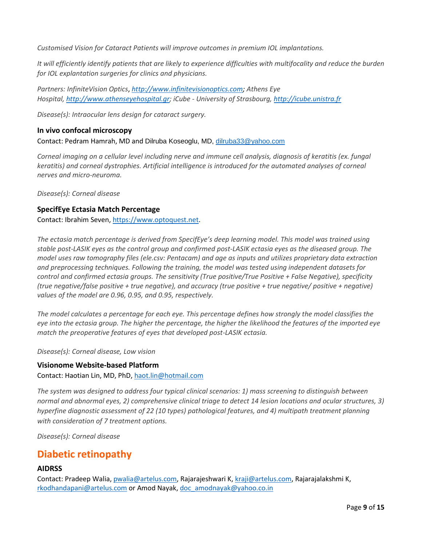*Customised Vision for Cataract Patients will improve outcomes in premium IOL implantations.*

*It will efficiently identify patients that are likely to experience difficulties with multifocality and reduce the burden for IOL explantation surgeries for clinics and physicians.* 

*Partners: InfiniteVision Optics*, *[http://www.infinitevisionoptics.com;](http://www.infinitevisionoptics.com/) Athens Eye Hospital, [http://www.athenseyehospital.gr;](http://www.athenseyehospital.gr/) iCube - University of Strasbourg, [http://icube.unistra.fr](http://icube.unistra.fr/)*

*Disease(s): Intraocular lens design for cataract surgery.*

#### <span id="page-8-0"></span>**In vivo confocal microscopy**

Contact: Pedram Hamrah, MD and Dilruba Koseoglu, MD, [dilruba33@yahoo.com](mailto:dilruba33@yahoo.com)

*Corneal imaging on a cellular level including nerve and immune cell analysis, diagnosis of keratitis (ex. fungal keratitis) and corneal dystrophies. Artificial intelligence is introduced for the automated analyses of corneal nerves and micro-neuroma.*

*Disease(s): Corneal disease*

#### <span id="page-8-1"></span>**SpecifEye Ectasia Match Percentage**

Contact: Ibrahim Seven[, https://www.optoquest.net.](https://www.optoquest.net/)

*The ectasia match percentage is derived from SpecifEye's deep learning model. This model was trained using stable post-LASIK eyes as the control group and confirmed post-LASIK ectasia eyes as the diseased group. The model uses raw tomography files (ele.csv: Pentacam) and age as inputs and utilizes proprietary data extraction and preprocessing techniques. Following the training, the model was tested using independent datasets for control and confirmed ectasia groups. The sensitivity (True positive/True Positive + False Negative), specificity (true negative/false positive + true negative), and accuracy (true positive + true negative/ positive + negative) values of the model are 0.96, 0.95, and 0.95, respectively.*

*The model calculates a percentage for each eye. This percentage defines how strongly the model classifies the eye into the ectasia group. The higher the percentage, the higher the likelihood the features of the imported eye match the preoperative features of eyes that developed post-LASIK ectasia.*

*Disease(s): Corneal disease, Low vision*

#### <span id="page-8-2"></span>**Visionome Website-based Platform**

Contact: Haotian Lin, MD, PhD, [haot.lin@hotmail.com](mailto:haot.lin@hotmail.com)

*The system was designed to address four typical clinical scenarios: 1) mass screening to distinguish between normal and abnormal eyes, 2) comprehensive clinical triage to detect 14 lesion locations and ocular structures, 3) hyperfine diagnostic assessment of 22 (10 types) pathological features, and 4) multipath treatment planning with consideration of 7 treatment options.*

*Disease(s): Corneal disease*

## <span id="page-8-3"></span>**Diabetic retinopathy**

#### <span id="page-8-4"></span>**AIDRSS**

Contact: Pradeep Walia[, pwalia@artelus.com,](mailto:pwalia@artelus.com) Rajarajeshwari K, [kraji@artelus.com,](mailto:kraji@artelus.com) Rajarajalakshmi K, [rkodhandapani@artelus.com](mailto:rkodhandapani@artelus.com) or Amod Nayak, [doc\\_amodnayak@yahoo.co.in](mailto:doc_amodnayak@yahoo.co.in)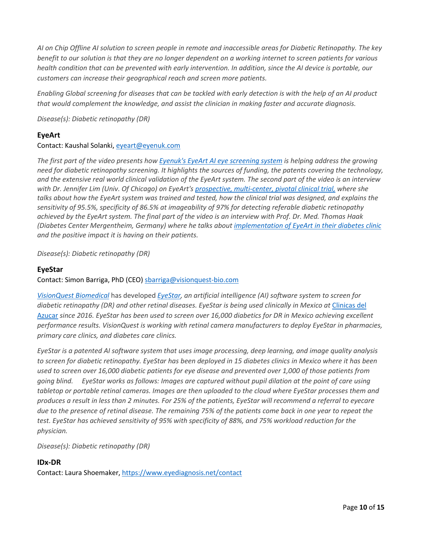*AI on Chip Offline AI solution to screen people in remote and inaccessible areas for Diabetic Retinopathy. The key benefit to our solution is that they are no longer dependent on a working internet to screen patients for various health condition that can be prevented with early intervention. In addition, since the AI device is portable, our customers can increase their geographical reach and screen more patients.* 

*Enabling Global screening for diseases that can be tackled with early detection is with the help of an AI product that would complement the knowledge, and assist the clinician in making faster and accurate diagnosis.*

*Disease(s): Diabetic retinopathy (DR)*

#### <span id="page-9-0"></span>**EyeArt**

#### Contact: Kaushal Solanki[, eyeart@eyenuk.com](mailto:eyeart@eyenuk.com)

*The first part of the video presents how [Eyenuk's EyeArt AI eye screening system](https://www.eyenuk.com/en/products/eyeart/) is helping address the growing need for diabetic retinopathy screening. It highlights the sources of funding, the patents covering the technology, and the extensive real world clinical validation of the EyeArt system. The second part of the video is an interview with Dr. Jennifer Lim (Univ. Of Chicago) on EyeArt's [prospective, multi-center, pivotal clinical trial,](https://www.eyenuk.com/en/articles/eyeart/eyenuk-ai-eye-screening-system-for-diabetic-retinopathy-demonstrates-exceptional-performance-in-a-prospective-multi-center-pivotal-clinical-trial/) where she talks about how the EyeArt system was trained and tested, how the clinical trial was designed, and explains the sensitivity of 95.5%, specificity of 86.5% at imageability of 97% for detecting referable diabetic retinopathy achieved by the EyeArt system. The final part of the video is an interview with Prof. Dr. Med. Thomas Haak (Diabetes Center Mergentheim, Germany) where he talks abou[t implementation of EyeArt in their diabetes clinic](https://www.eyenuk.com/en/articles/press-releases/german-diabetes-clinic-increases-diabetic-retinopathy-screenings-using-eyeart/) and the positive impact it is having on their patients.* 

*Disease(s): Diabetic retinopathy (DR)*

#### <span id="page-9-1"></span>**EyeStar**

Contact: Simon Barriga, PhD (CEO) [sbarriga@visionquest-bio.com](mailto:sbarriga@visionquest-bio.com)

*[VisionQuest Biomedical](http://visionquest-bio.com/)* has developed *[EyeStar,](http://visionquest-bio.com/eyestar.aspx) an artificial intelligence (AI) software system to screen for diabetic retinopathy (DR) and other retinal diseases. EyeStar is being used clinically in Mexico at* [Clinicas del](https://www.clinicasdelazucar.com/)  [Azucar](https://www.clinicasdelazucar.com/) *since 2016. EyeStar has been used to screen over 16,000 diabetics for DR in Mexico achieving excellent performance results. VisionQuest is working with retinal camera manufacturers to deploy EyeStar in pharmacies, primary care clinics, and diabetes care clinics.*

*EyeStar is a patented AI software system that uses image processing, deep learning, and image quality analysis to screen for diabetic retinopathy. EyeStar has been deployed in 15 diabetes clinics in Mexico where it has been used to screen over 16,000 diabetic patients for eye disease and prevented over 1,000 of those patients from going blind. EyeStar works as follows: Images are captured without pupil dilation at the point of care using tabletop or portable retinal cameras. Images are then uploaded to the cloud where EyeStar processes them and produces a result in less than 2 minutes. For 25% of the patients, EyeStar will recommend a referral to eyecare due to the presence of retinal disease. The remaining 75% of the patients come back in one year to repeat the test. EyeStar has achieved sensitivity of 95% with specificity of 88%, and 75% workload reduction for the physician.*

*Disease(s): Diabetic retinopathy (DR)*

#### <span id="page-9-2"></span>**IDx-DR**

Contact: Laura Shoemaker,<https://www.eyediagnosis.net/contact>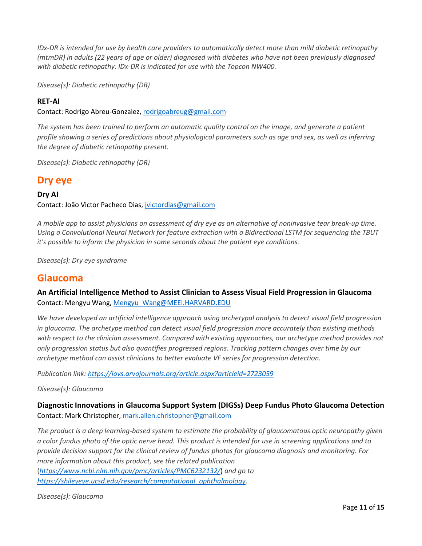*IDx-DR is intended for use by health care providers to automatically detect more than mild diabetic retinopathy (mtmDR) in adults (22 years of age or older) diagnosed with diabetes who have not been previously diagnosed with diabetic retinopathy. IDx-DR is indicated for use with the Topcon NW400.* 

*Disease(s): Diabetic retinopathy (DR)*

#### <span id="page-10-0"></span>**RET-AI**

Contact: Rodrigo Abreu-Gonzalez, [rodrigoabreug@gmail.com](mailto:rodrigoabreug@gmail.com)

*The system has been trained to perform an automatic quality control on the image, and generate a patient profile showing a series of predictions about physiological parameters such as age and sex, as well as inferring the degree of diabetic retinopathy present.*

*Disease(s): Diabetic retinopathy (DR)*

#### <span id="page-10-1"></span>**Dry eye**

#### <span id="page-10-2"></span>**Dry AI**

Contact: João Victor Pacheco Dias, [jvictordias@gmail.com](mailto:jvictordias@gmail.com)

*A mobile app to assist physicians on assessment of dry eye as an alternative of noninvasive tear break-up time. Using a Convolutional Neural Network for feature extraction with a Bidirectional LSTM for sequencing the TBUT it's possible to inform the physician in some seconds about the patient eye conditions.*

*Disease(s): Dry eye syndrome*

#### <span id="page-10-3"></span>**Glaucoma**

<span id="page-10-4"></span>**An Artificial Intelligence Method to Assist Clinician to Assess Visual Field Progression in Glaucoma** Contact: Mengyu Wang[, Mengyu\\_Wang@MEEI.HARVARD.EDU](mailto:Mengyu_Wang@MEEI.HARVARD.EDU)

*We have developed an artificial intelligence approach using archetypal analysis to detect visual field progression in glaucoma. The archetype method can detect visual field progression more accurately than existing methods*  with respect to the clinician assessment. Compared with existing approaches, our archetype method provides not *only progression status but also quantifies progressed regions. Tracking pattern changes over time by our archetype method can assist clinicians to better evaluate VF series for progression detection.*

*Publication link[: https://iovs.arvojournals.org/article.aspx?articleid=2723059](https://iovs.arvojournals.org/article.aspx?articleid=2723059)*

*Disease(s): Glaucoma*

<span id="page-10-5"></span>**Diagnostic Innovations in Glaucoma Support System (DIGSs) Deep Fundus Photo Glaucoma Detection** Contact: Mark Christopher, [mark.allen.christopher@gmail.com](mailto:mark.allen.christopher@gmail.com)

*The product is a deep learning-based system to estimate the probability of glaucomatous optic neuropathy given a color fundus photo of the optic nerve head. This product is intended for use in screening applications and to provide decision support for the clinical review of fundus photos for glaucoma diagnosis and monitoring. For more information about this product, see the related publication* (*<https://www.ncbi.nlm.nih.gov/pmc/articles/PMC6232132/>*) *and go to [https://shileyeye.ucsd.edu/research/computational\\_ophthalmology.](https://shileyeye.ucsd.edu/research/computational_ophthalmology)*

*Disease(s): Glaucoma*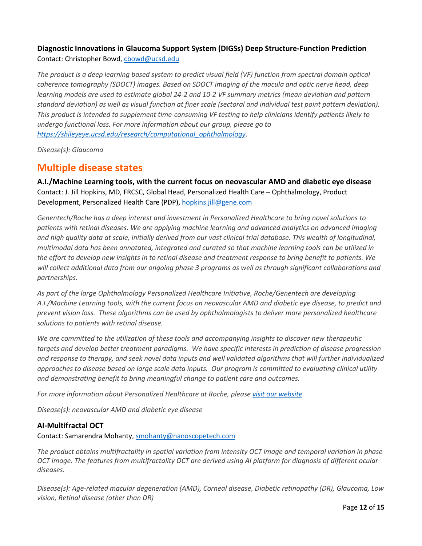### <span id="page-11-0"></span>**Diagnostic Innovations in Glaucoma Support System (DIGSs) Deep Structure-Function Prediction**

Contact: Christopher Bowd, [cbowd@ucsd.edu](mailto:cbowd@ucsd.edu)

*The product is a deep learning based system to predict visual field (VF) function from spectral domain optical coherence tomography (SDOCT) images. Based on SDOCT imaging of the macula and optic nerve head, deep learning models are used to estimate global 24-2 and 10-2 VF summary metrics (mean deviation and pattern standard deviation) as well as visual function at finer scale (sectoral and individual test point pattern deviation). This product is intended to supplement time-consuming VF testing to help clinicians identify patients likely to undergo functional loss. For more information about our group, please go to [https://shileyeye.ucsd.edu/research/computational\\_ophthalmology.](https://shileyeye.ucsd.edu/research/computational_ophthalmology)*

*Disease(s): Glaucoma*

## <span id="page-11-1"></span>**Multiple disease states**

<span id="page-11-2"></span>**A.I./Machine Learning tools, with the current focus on neovascular AMD and diabetic eye disease** Contact: J. Jill Hopkins, MD, FRCSC, Global Head, Personalized Health Care – Ophthalmology, Product Development, Personalized Health Care (PDP), [hopkins.jill@gene.com](mailto:hopkins.jill@gene.com)

*Genentech/Roche has a deep interest and investment in Personalized Healthcare to bring novel solutions to patients with retinal diseases. We are applying machine learning and advanced analytics on advanced imaging and high quality data at scale, initially derived from our vast clinical trial database. This wealth of longitudinal, multimodal data has been annotated, integrated and curated so that machine learning tools can be utilized in the effort to develop new insights in to retinal disease and treatment response to bring benefit to patients. We will collect additional data from our ongoing phase 3 programs as well as through significant collaborations and partnerships.* 

*As part of the large Ophthalmology Personalized Healthcare Initiative, Roche/Genentech are developing A.I./Machine Learning tools, with the current focus on neovascular AMD and diabetic eye disease, to predict and prevent vision loss. These algorithms can be used by ophthalmologists to deliver more personalized healthcare solutions to patients with retinal disease.* 

*We are committed to the utilization of these tools and accompanying insights to discover new therapeutic targets and develop better treatment paradigms. We have specific interests in prediction of disease progression and response to therapy, and seek novel data inputs and well validated algorithms that will further individualized approaches to disease based on large scale data inputs. Our program is committed to evaluating clinical utility and demonstrating benefit to bring meaningful change to patient care and outcomes.*

*For more information about Personalized Healthcare at Roche, please [visit our website.](https://www.roche.com/about/priorities/personalised_healthcare.htm)*

*Disease(s): neovascular AMD and diabetic eye disease*

#### <span id="page-11-3"></span>**AI-Multifractal OCT**

Contact: Samarendra Mohanty, [smohanty@nanoscopetech.com](mailto:smohanty@nanoscopetech.com)

*The product obtains multifractality in spatial variation from intensity OCT image and temporal variation in phase OCT image. The features from multifractality OCT are derived using AI platform for diagnosis of different ocular diseases.*

*Disease(s): Age-related macular degeneration (AMD), Corneal disease, Diabetic retinopathy (DR), Glaucoma, Low vision, Retinal disease (other than DR)*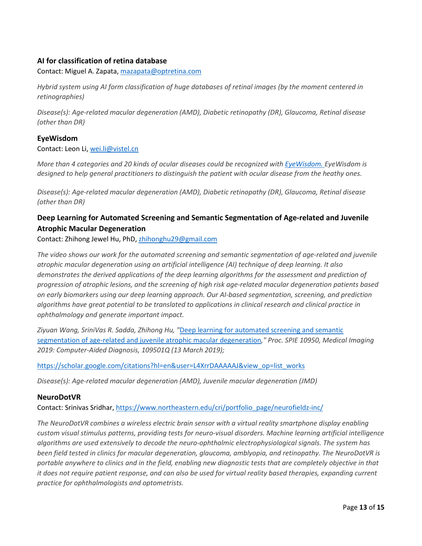#### <span id="page-12-0"></span>**AI for classification of retina database**

Contact: Miguel A. Zapata, [mazapata@optretina.com](mailto:mazapata@optretina.com)

*Hybrid system using AI form classification of huge databases of retinal images (by the moment centered in retinographies)*

*Disease(s): Age-related macular degeneration (AMD), Diabetic retinopathy (DR), Glaucoma, Retinal disease (other than DR)*

#### <span id="page-12-1"></span>**EyeWisdom**

Contact: Leon Li[, wei.li@vistel.cn](mailto:wei.li@vistel.cn)

*More than 4 categories and 20 kinds of ocular diseases could be recognized with [EyeWisdom. E](https://vistel.cn/product)yeWisdom is designed to help general practitioners to distinguish the patient with ocular disease from the heathy ones.*

*Disease(s): Age-related macular degeneration (AMD), Diabetic retinopathy (DR), Glaucoma, Retinal disease (other than DR)*

## <span id="page-12-2"></span>**Deep Learning for Automated Screening and Semantic Segmentation of Age-related and Juvenile Atrophic Macular Degeneration**

Contact: Zhihong Jewel Hu, PhD, [zhihonghu29@gmail.com](mailto:zhihonghu29@gmail.com)

*The video shows our work for the automated screening and semantic segmentation of age-related and juvenile atrophic macular degeneration using an artificial intelligence (AI) technique of deep learning. It also demonstrates the derived applications of the deep learning algorithms for the assessment and prediction of progression of atrophic lesions, and the screening of high risk age-related macular degeneration patients based on early biomarkers using our deep learning approach. Our AI-based segmentation, screening, and prediction algorithms have great potential to be translated to applications in clinical research and clinical practice in ophthalmology and generate important impact.* 

*Ziyuan Wang, SriniVas R. Sadda, Zhihong Hu, "*[Deep learning for automated screening and semantic](https://www.spiedigitallibrary.org/conference-proceedings-of-spie/10950/109501Q/Deep-learning-for-automated-screening-and-semantic-segmentation-of-age/10.1117/12.2511538.short)  segmentation of [age-related and juvenile atrophic macular degeneration](https://www.spiedigitallibrary.org/conference-proceedings-of-spie/10950/109501Q/Deep-learning-for-automated-screening-and-semantic-segmentation-of-age/10.1117/12.2511538.short)*," Proc. SPIE 10950, Medical Imaging 2019: Computer-Aided Diagnosis, 109501Q (13 March 2019);*

[https://scholar.google.com/citations?hl=en&user=L4XrrDAAAAAJ&view\\_op=list\\_works](https://scholar.google.com/citations?hl=en&user=L4XrrDAAAAAJ&view_op=list_works)

*Disease(s): Age-related macular degeneration (AMD), Juvenile macular degeneration (JMD)*

#### <span id="page-12-3"></span>**NeuroDotVR**

Contact: Srinivas Sridhar, [https://www.northeastern.edu/cri/portfolio\\_page/neurofieldz-inc/](https://www.northeastern.edu/cri/portfolio_page/neurofieldz-inc/)

*The NeuroDotVR combines a wireless electric brain sensor with a virtual reality smartphone display enabling custom visual stimulus patterns, providing tests for neuro-visual disorders. Machine learning artificial intelligence algorithms are used extensively to decode the neuro-ophthalmic electrophysiological signals. The system has been field tested in clinics for macular degeneration, glaucoma, amblyopia, and retinopathy. The NeuroDotVR is portable anywhere to clinics and in the field, enabling new diagnostic tests that are completely objective in that it does not require patient response, and can also be used for virtual reality based therapies, expanding current practice for ophthalmologists and optometrists.*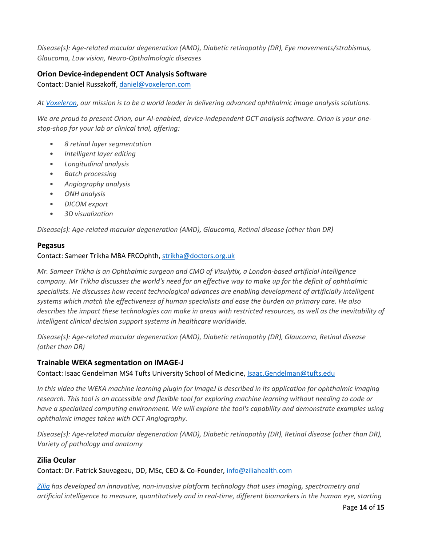*Disease(s): Age-related macular degeneration (AMD), Diabetic retinopathy (DR), Eye movements/strabismus, Glaucoma, Low vision, Neuro-Opthalmologic diseases*

#### <span id="page-13-0"></span>**Orion Device-independent OCT Analysis Software**

Contact: Daniel Russakoff, [daniel@voxeleron.com](mailto:daniel@voxeleron.com)

*A[t Voxeleron](http://www.voxeleron.com/orion)*, *our mission is to be a world leader in delivering advanced ophthalmic image analysis solutions.* 

*We are proud to present Orion, our AI-enabled, device-independent OCT analysis software. Orion is your onestop-shop for your lab or clinical trial, offering:*

- *8 retinal layer segmentation*
- *Intelligent layer editing*
- *Longitudinal analysis*
- *Batch processing*
- *Angiography analysis*
- *ONH analysis*
- *DICOM export*
- *3D visualization*

*Disease(s): Age-related macular degeneration (AMD), Glaucoma, Retinal disease (other than DR)*

#### <span id="page-13-1"></span>**Pegasus**

#### Contact: Sameer Trikha MBA FRCOphth[, strikha@doctors.org.uk](mailto:strikha@doctors.org.uk)

*Mr. Sameer Trikha is an Ophthalmic surgeon and CMO of Visulytix, a London-based artificial intelligence company. Mr Trikha discusses the world's need for an effective way to make up for the deficit of ophthalmic specialists. He discusses how recent technological advances are enabling development of artificially intelligent systems which match the effectiveness of human specialists and ease the burden on primary care. He also describes the impact these technologies can make in areas with restricted resources, as well as the inevitability of intelligent clinical decision support systems in healthcare worldwide.*

*Disease(s): Age-related macular degeneration (AMD), Diabetic retinopathy (DR), Glaucoma, Retinal disease (other than DR)*

#### <span id="page-13-2"></span>**Trainable WEKA segmentation on IMAGE-J**

Contact: Isaac Gendelman MS4 Tufts University School of Medicine, **Isaac.Gendelman@tufts.edu** 

*In this video the WEKA machine learning plugin for ImageJ is described in its application for ophthalmic imaging research. This tool is an accessible and flexible tool for exploring machine learning without needing to code or have a specialized computing environment. We will explore the tool's capability and demonstrate examples using ophthalmic images taken with OCT Angiography.*

*Disease(s): Age-related macular degeneration (AMD), Diabetic retinopathy (DR), Retinal disease (other than DR), Variety of pathology and anatomy*

#### <span id="page-13-3"></span>**Zilia Ocular**

Contact: Dr. Patrick Sauvageau, OD, MSc, CEO & Co-Founder, [info@ziliahealth.com](mailto:info@ziliahealth.com)

*[Zilia](http://www.ziliahealth.com/) has developed an innovative, non-invasive platform technology that uses imaging, spectrometry and artificial intelligence to measure, quantitatively and in real-time, different biomarkers in the human eye, starting*